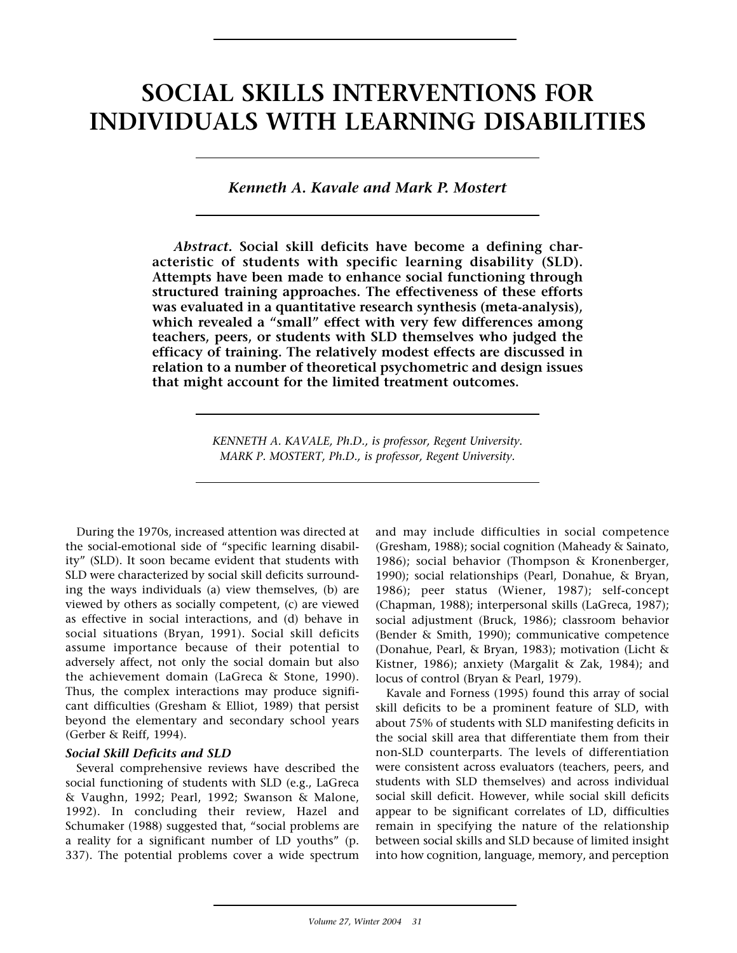# **SOCIAL SKILLS INTERVENTIONS FOR INDIVIDUALS WITH LEARNING DISABILITIES**

*Kenneth A. Kavale and Mark P. Mostert*

*Abstract.* **Social skill deficits have become a defining characteristic of students with specific learning disability (SLD). Attempts have been made to enhance social functioning through structured training approaches. The effectiveness of these efforts was evaluated in a quantitative research synthesis (meta-analysis), which revealed a "small" effect with very few differences among teachers, peers, or students with SLD themselves who judged the efficacy of training. The relatively modest effects are discussed in relation to a number of theoretical psychometric and design issues that might account for the limited treatment outcomes.** 

> *KENNETH A. KAVALE, Ph.D., is professor, Regent University. MARK P. MOSTERT, Ph.D., is professor, Regent University.*

During the 1970s, increased attention was directed at the social-emotional side of "specific learning disability" (SLD). It soon became evident that students with SLD were characterized by social skill deficits surrounding the ways individuals (a) view themselves, (b) are viewed by others as socially competent, (c) are viewed as effective in social interactions, and (d) behave in social situations (Bryan, 1991). Social skill deficits assume importance because of their potential to adversely affect, not only the social domain but also the achievement domain (LaGreca & Stone, 1990). Thus, the complex interactions may produce significant difficulties (Gresham & Elliot, 1989) that persist beyond the elementary and secondary school years (Gerber & Reiff, 1994).

## *Social Skill Deficits and SLD*

Several comprehensive reviews have described the social functioning of students with SLD (e.g., LaGreca & Vaughn, 1992; Pearl, 1992; Swanson & Malone, 1992). In concluding their review, Hazel and Schumaker (1988) suggested that, "social problems are a reality for a significant number of LD youths" (p. 337). The potential problems cover a wide spectrum

and may include difficulties in social competence (Gresham, 1988); social cognition (Maheady & Sainato, 1986); social behavior (Thompson & Kronenberger, 1990); social relationships (Pearl, Donahue, & Bryan, 1986); peer status (Wiener, 1987); self-concept (Chapman, 1988); interpersonal skills (LaGreca, 1987); social adjustment (Bruck, 1986); classroom behavior (Bender & Smith, 1990); communicative competence (Donahue, Pearl, & Bryan, 1983); motivation (Licht & Kistner, 1986); anxiety (Margalit & Zak, 1984); and locus of control (Bryan & Pearl, 1979).

Kavale and Forness (1995) found this array of social skill deficits to be a prominent feature of SLD, with about 75% of students with SLD manifesting deficits in the social skill area that differentiate them from their non-SLD counterparts. The levels of differentiation were consistent across evaluators (teachers, peers, and students with SLD themselves) and across individual social skill deficit. However, while social skill deficits appear to be significant correlates of LD, difficulties remain in specifying the nature of the relationship between social skills and SLD because of limited insight into how cognition, language, memory, and perception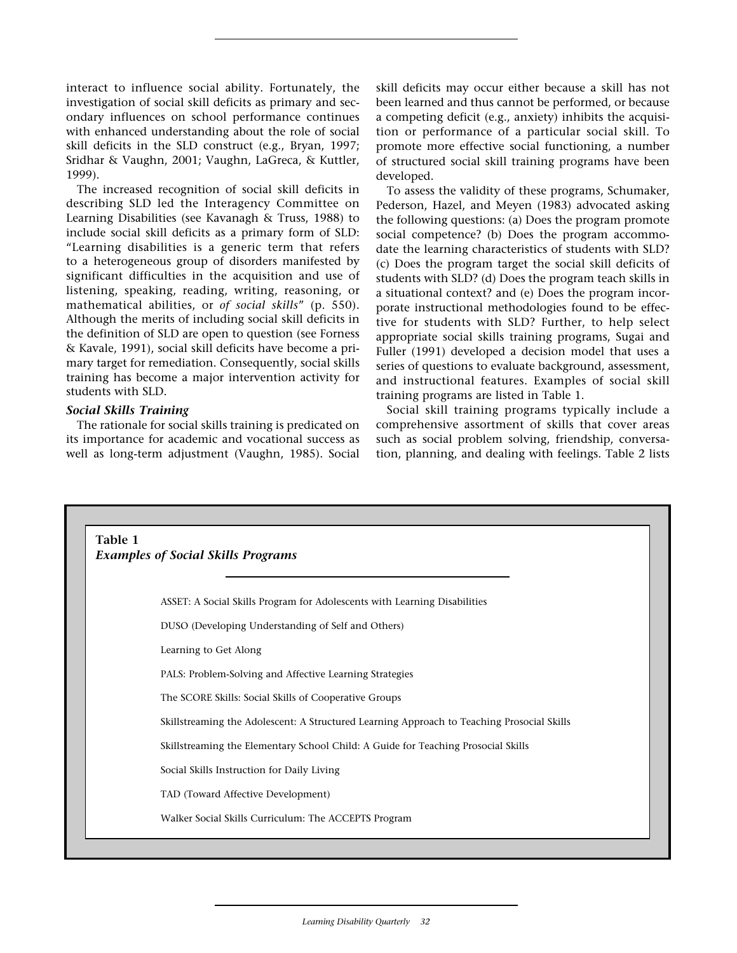interact to influence social ability. Fortunately, the investigation of social skill deficits as primary and secondary influences on school performance continues with enhanced understanding about the role of social skill deficits in the SLD construct (e.g., Bryan, 1997; Sridhar & Vaughn, 2001; Vaughn, LaGreca, & Kuttler, 1999).

The increased recognition of social skill deficits in describing SLD led the Interagency Committee on Learning Disabilities (see Kavanagh & Truss, 1988) to include social skill deficits as a primary form of SLD: "Learning disabilities is a generic term that refers to a heterogeneous group of disorders manifested by significant difficulties in the acquisition and use of listening, speaking, reading, writing, reasoning, or mathematical abilities, or *of social skills*" (p. 550). Although the merits of including social skill deficits in the definition of SLD are open to question (see Forness & Kavale, 1991), social skill deficits have become a primary target for remediation. Consequently, social skills training has become a major intervention activity for students with SLD.

## *Social Skills Training*

The rationale for social skills training is predicated on its importance for academic and vocational success as well as long-term adjustment (Vaughn, 1985). Social

skill deficits may occur either because a skill has not been learned and thus cannot be performed, or because a competing deficit (e.g., anxiety) inhibits the acquisition or performance of a particular social skill. To promote more effective social functioning, a number of structured social skill training programs have been developed.

To assess the validity of these programs, Schumaker, Pederson, Hazel, and Meyen (1983) advocated asking the following questions: (a) Does the program promote social competence? (b) Does the program accommodate the learning characteristics of students with SLD? (c) Does the program target the social skill deficits of students with SLD? (d) Does the program teach skills in a situational context? and (e) Does the program incorporate instructional methodologies found to be effective for students with SLD? Further, to help select appropriate social skills training programs, Sugai and Fuller (1991) developed a decision model that uses a series of questions to evaluate background, assessment, and instructional features. Examples of social skill training programs are listed in Table 1.

Social skill training programs typically include a comprehensive assortment of skills that cover areas such as social problem solving, friendship, conversation, planning, and dealing with feelings. Table 2 lists

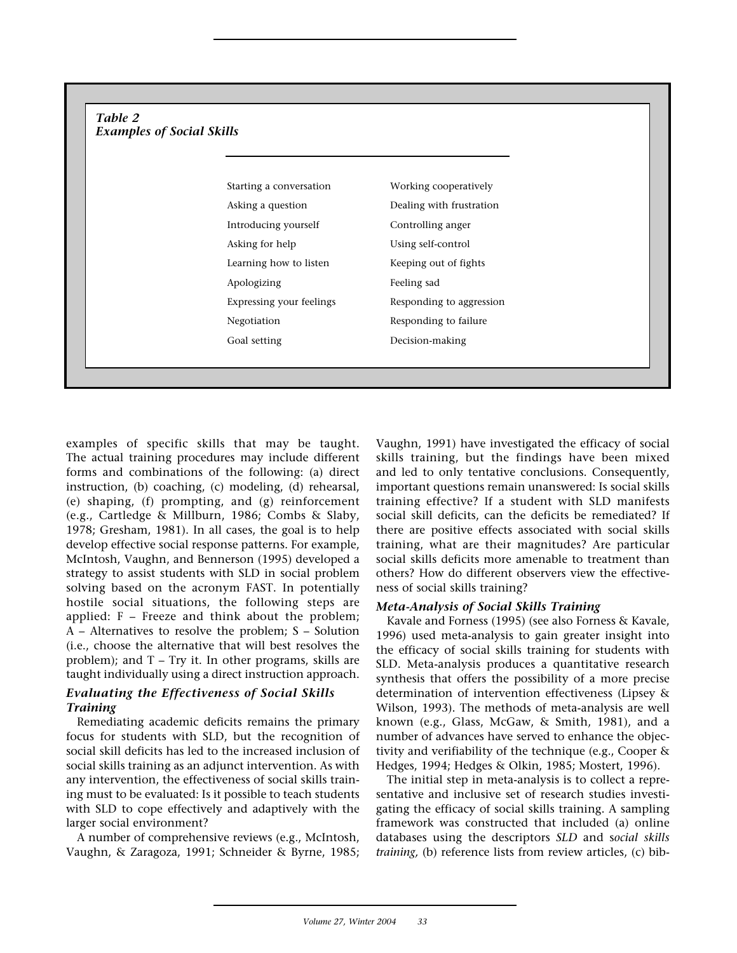## *Table 2 Examples of Social Skills*

Starting a conversation Working cooperatively Asking a question Dealing with frustration Introducing yourself Controlling anger Asking for help Using self-control Learning how to listen Keeping out of fights Apologizing Feeling sad Expressing your feelings Responding to aggression Negotiation Responding to failure Goal setting Decision-making

examples of specific skills that may be taught. The actual training procedures may include different forms and combinations of the following: (a) direct instruction, (b) coaching, (c) modeling, (d) rehearsal, (e) shaping, (f) prompting, and (g) reinforcement (e.g., Cartledge & Millburn, 1986; Combs & Slaby, 1978; Gresham, 1981). In all cases, the goal is to help develop effective social response patterns. For example, McIntosh, Vaughn, and Bennerson (1995) developed a strategy to assist students with SLD in social problem solving based on the acronym FAST. In potentially hostile social situations, the following steps are applied: F – Freeze and think about the problem; A – Alternatives to resolve the problem; S – Solution (i.e., choose the alternative that will best resolves the problem); and T – Try it. In other programs, skills are taught individually using a direct instruction approach.

# *Evaluating the Effectiveness of Social Skills Training*

Remediating academic deficits remains the primary focus for students with SLD, but the recognition of social skill deficits has led to the increased inclusion of social skills training as an adjunct intervention. As with any intervention, the effectiveness of social skills training must to be evaluated: Is it possible to teach students with SLD to cope effectively and adaptively with the larger social environment?

A number of comprehensive reviews (e.g., McIntosh, Vaughn, & Zaragoza, 1991; Schneider & Byrne, 1985; Vaughn, 1991) have investigated the efficacy of social skills training, but the findings have been mixed and led to only tentative conclusions. Consequently, important questions remain unanswered: Is social skills training effective? If a student with SLD manifests social skill deficits, can the deficits be remediated? If there are positive effects associated with social skills training, what are their magnitudes? Are particular social skills deficits more amenable to treatment than others? How do different observers view the effectiveness of social skills training?

## *Meta-Analysis of Social Skills Training*

Kavale and Forness (1995) (see also Forness & Kavale, 1996) used meta-analysis to gain greater insight into the efficacy of social skills training for students with SLD. Meta-analysis produces a quantitative research synthesis that offers the possibility of a more precise determination of intervention effectiveness (Lipsey & Wilson, 1993). The methods of meta-analysis are well known (e.g., Glass, McGaw, & Smith, 1981), and a number of advances have served to enhance the objectivity and verifiability of the technique (e.g., Cooper & Hedges, 1994; Hedges & Olkin, 1985; Mostert, 1996).

The initial step in meta-analysis is to collect a representative and inclusive set of research studies investigating the efficacy of social skills training. A sampling framework was constructed that included (a) online databases using the descriptors *SLD* and s*ocial skills training,* (b) reference lists from review articles, (c) bib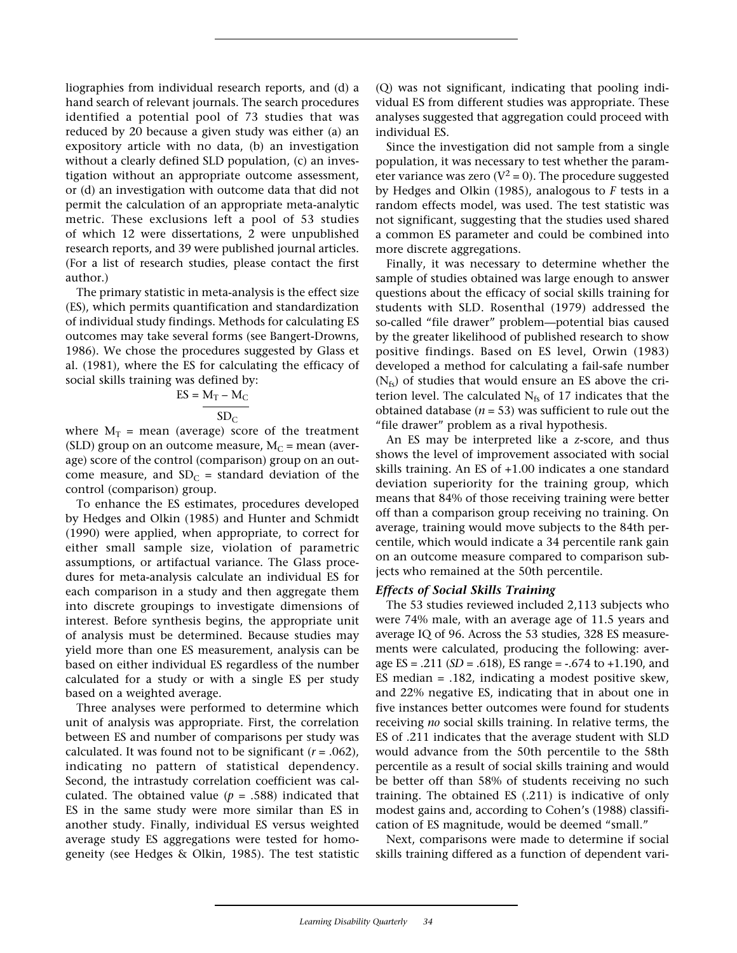liographies from individual research reports, and (d) a hand search of relevant journals. The search procedures identified a potential pool of 73 studies that was reduced by 20 because a given study was either (a) an expository article with no data, (b) an investigation without a clearly defined SLD population, (c) an investigation without an appropriate outcome assessment, or (d) an investigation with outcome data that did not permit the calculation of an appropriate meta-analytic metric. These exclusions left a pool of 53 studies of which 12 were dissertations, 2 were unpublished research reports, and 39 were published journal articles. (For a list of research studies, please contact the first author.)

The primary statistic in meta-analysis is the effect size (ES), which permits quantification and standardization of individual study findings. Methods for calculating ES outcomes may take several forms (see Bangert-Drowns, 1986). We chose the procedures suggested by Glass et al. (1981), where the ES for calculating the efficacy of social skills training was defined by:

$$
ES = \frac{M_T - M_C}{SD_C}
$$

where  $M_T$  = mean (average) score of the treatment (SLD) group on an outcome measure,  $M_C$  = mean (average) score of the control (comparison) group on an outcome measure, and  $SD_C$  = standard deviation of the control (comparison) group.

To enhance the ES estimates, procedures developed by Hedges and Olkin (1985) and Hunter and Schmidt (1990) were applied, when appropriate, to correct for either small sample size, violation of parametric assumptions, or artifactual variance. The Glass procedures for meta-analysis calculate an individual ES for each comparison in a study and then aggregate them into discrete groupings to investigate dimensions of interest. Before synthesis begins, the appropriate unit of analysis must be determined. Because studies may yield more than one ES measurement, analysis can be based on either individual ES regardless of the number calculated for a study or with a single ES per study based on a weighted average.

Three analyses were performed to determine which unit of analysis was appropriate. First, the correlation between ES and number of comparisons per study was calculated. It was found not to be significant (*r* = .062), indicating no pattern of statistical dependency. Second, the intrastudy correlation coefficient was calculated. The obtained value ( $p = .588$ ) indicated that ES in the same study were more similar than ES in another study. Finally, individual ES versus weighted average study ES aggregations were tested for homogeneity (see Hedges & Olkin, 1985). The test statistic (Q) was not significant, indicating that pooling individual ES from different studies was appropriate. These analyses suggested that aggregation could proceed with individual ES.

Since the investigation did not sample from a single population, it was necessary to test whether the parameter variance was zero ( $V^2$  = 0). The procedure suggested by Hedges and Olkin (1985), analogous to *F* tests in a random effects model, was used. The test statistic was not significant, suggesting that the studies used shared a common ES parameter and could be combined into more discrete aggregations.

Finally, it was necessary to determine whether the sample of studies obtained was large enough to answer questions about the efficacy of social skills training for students with SLD. Rosenthal (1979) addressed the so-called "file drawer" problem—potential bias caused by the greater likelihood of published research to show positive findings. Based on ES level, Orwin (1983) developed a method for calculating a fail-safe number  $(N_{fs})$  of studies that would ensure an ES above the criterion level. The calculated  $N_{fs}$  of 17 indicates that the obtained database  $(n = 53)$  was sufficient to rule out the "file drawer" problem as a rival hypothesis.

An ES may be interpreted like a *z*-score, and thus shows the level of improvement associated with social skills training. An ES of +1.00 indicates a one standard deviation superiority for the training group, which means that 84% of those receiving training were better off than a comparison group receiving no training. On average, training would move subjects to the 84th percentile, which would indicate a 34 percentile rank gain on an outcome measure compared to comparison subjects who remained at the 50th percentile.

## *Effects of Social Skills Training*

The 53 studies reviewed included 2,113 subjects who were 74% male, with an average age of 11.5 years and average IQ of 96. Across the 53 studies, 328 ES measurements were calculated, producing the following: average ES = .211 (*SD* = .618), ES range = -.674 to +1.190, and ES median = .182, indicating a modest positive skew, and 22% negative ES, indicating that in about one in five instances better outcomes were found for students receiving *no* social skills training. In relative terms, the ES of .211 indicates that the average student with SLD would advance from the 50th percentile to the 58th percentile as a result of social skills training and would be better off than 58% of students receiving no such training. The obtained ES (.211) is indicative of only modest gains and, according to Cohen's (1988) classification of ES magnitude, would be deemed "small."

Next, comparisons were made to determine if social skills training differed as a function of dependent vari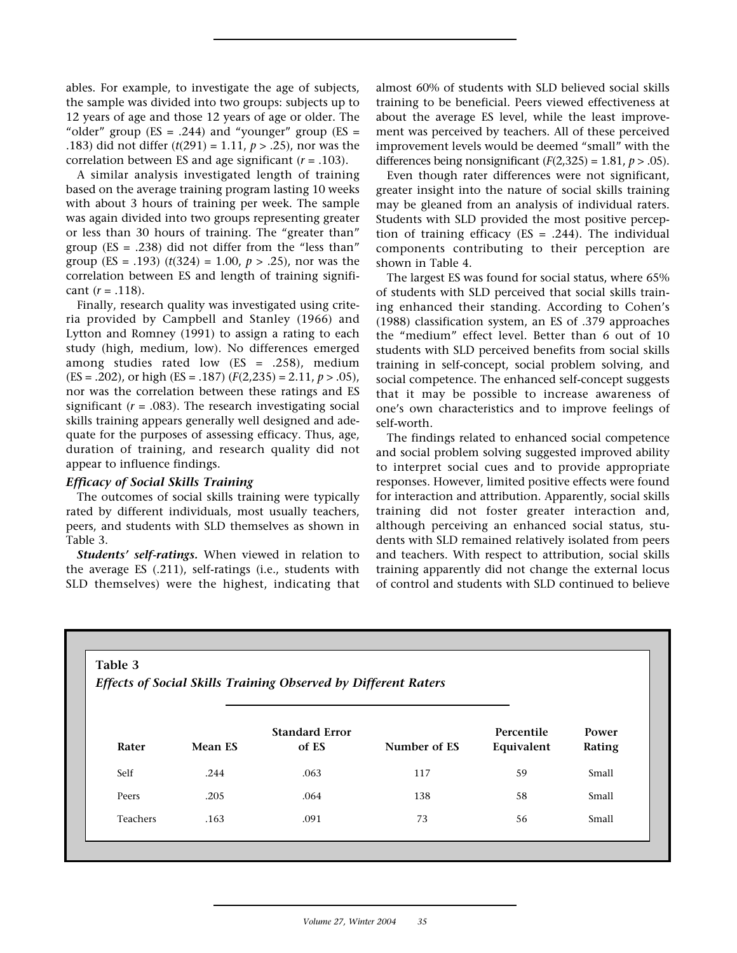ables. For example, to investigate the age of subjects, the sample was divided into two groups: subjects up to 12 years of age and those 12 years of age or older. The "older" group ( $ES = .244$ ) and "younger" group ( $ES =$ .183) did not differ (*t*(291) = 1.11, *p* > .25), nor was the correlation between ES and age significant (*r* = .103).

A similar analysis investigated length of training based on the average training program lasting 10 weeks with about 3 hours of training per week. The sample was again divided into two groups representing greater or less than 30 hours of training. The "greater than" group  $(ES = .238)$  did not differ from the "less than" group (ES = .193)  $(t(324) = 1.00, p > .25)$ , nor was the correlation between ES and length of training significant  $(r = .118)$ .

Finally, research quality was investigated using criteria provided by Campbell and Stanley (1966) and Lytton and Romney (1991) to assign a rating to each study (high, medium, low). No differences emerged among studies rated low  $(ES = .258)$ , medium (ES = .202), or high (ES = .187) (*F*(2,235) = 2.11, *p* > .05), nor was the correlation between these ratings and ES significant  $(r = .083)$ . The research investigating social skills training appears generally well designed and adequate for the purposes of assessing efficacy. Thus, age, duration of training, and research quality did not appear to influence findings.

#### *Efficacy of Social Skills Training*

The outcomes of social skills training were typically rated by different individuals, most usually teachers, peers, and students with SLD themselves as shown in Table 3.

*Students' self-ratings.* When viewed in relation to the average ES (.211), self-ratings (i.e., students with SLD themselves) were the highest, indicating that almost 60% of students with SLD believed social skills training to be beneficial. Peers viewed effectiveness at about the average ES level, while the least improvement was perceived by teachers. All of these perceived improvement levels would be deemed "small" with the differences being nonsignificant  $(F(2,325) = 1.81, p > .05)$ .

Even though rater differences were not significant, greater insight into the nature of social skills training may be gleaned from an analysis of individual raters. Students with SLD provided the most positive perception of training efficacy ( $ES = .244$ ). The individual components contributing to their perception are shown in Table 4.

The largest ES was found for social status, where 65% of students with SLD perceived that social skills training enhanced their standing. According to Cohen's (1988) classification system, an ES of .379 approaches the "medium" effect level. Better than 6 out of 10 students with SLD perceived benefits from social skills training in self-concept, social problem solving, and social competence. The enhanced self-concept suggests that it may be possible to increase awareness of one's own characteristics and to improve feelings of self-worth.

The findings related to enhanced social competence and social problem solving suggested improved ability to interpret social cues and to provide appropriate responses. However, limited positive effects were found for interaction and attribution. Apparently, social skills training did not foster greater interaction and, although perceiving an enhanced social status, students with SLD remained relatively isolated from peers and teachers. With respect to attribution, social skills training apparently did not change the external locus of control and students with SLD continued to believe

#### **Table 3**

*Effects of Social Skills Training Observed by Different Raters*

| Rater    | <b>Mean ES</b> | <b>Standard Error</b><br>of ES | Number of ES | Percentile<br>Equivalent | Power<br>Rating |
|----------|----------------|--------------------------------|--------------|--------------------------|-----------------|
| Self     | .244           | .063                           | 117          | 59                       | Small           |
| Peers    | .205           | .064                           | 138          | 58                       | Small           |
| Teachers | .163           | .091                           | 73           | 56                       | Small           |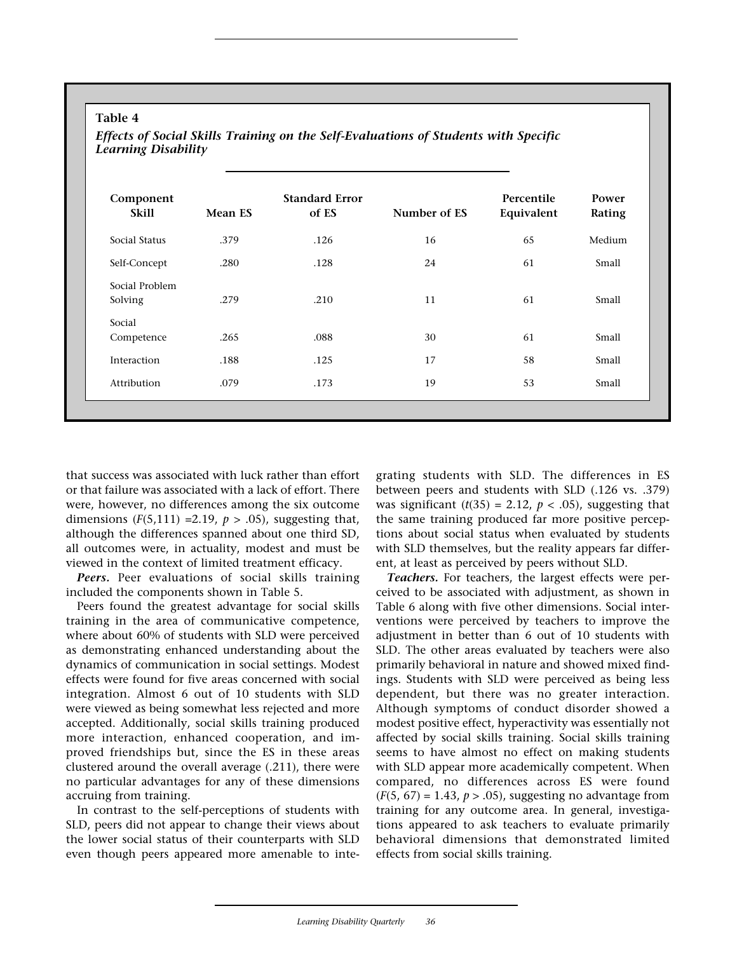## **Table 4**

*Effects of Social Skills Training on the Self-Evaluations of Students with Specific Learning Disability*

| Component<br><b>Skill</b> | Mean ES | <b>Standard Error</b><br>of ES | Number of ES | Percentile<br>Equivalent | Power<br>Rating |
|---------------------------|---------|--------------------------------|--------------|--------------------------|-----------------|
| Social Status             | .379    | .126                           | 16           | 65                       | Medium          |
| Self-Concept              | .280    | .128                           | 24           | 61                       | Small           |
| Social Problem<br>Solving | .279    | .210                           | 11           | 61                       | Small           |
| Social<br>Competence      | .265    | .088                           | 30           | 61                       | Small           |
| Interaction               | .188    | .125                           | 17           | 58                       | Small           |
| Attribution               | .079    | .173                           | 19           | 53                       | Small           |

that success was associated with luck rather than effort or that failure was associated with a lack of effort. There were, however, no differences among the six outcome dimensions (*F*(5,111) =2.19, *p* > .05), suggesting that, although the differences spanned about one third SD, all outcomes were, in actuality, modest and must be viewed in the context of limited treatment efficacy.

*Peers.* Peer evaluations of social skills training included the components shown in Table 5.

Peers found the greatest advantage for social skills training in the area of communicative competence, where about 60% of students with SLD were perceived as demonstrating enhanced understanding about the dynamics of communication in social settings. Modest effects were found for five areas concerned with social integration. Almost 6 out of 10 students with SLD were viewed as being somewhat less rejected and more accepted. Additionally, social skills training produced more interaction, enhanced cooperation, and improved friendships but, since the ES in these areas clustered around the overall average (.211), there were no particular advantages for any of these dimensions accruing from training.

In contrast to the self-perceptions of students with SLD, peers did not appear to change their views about the lower social status of their counterparts with SLD even though peers appeared more amenable to integrating students with SLD. The differences in ES between peers and students with SLD (.126 vs. .379) was significant  $(t(35) = 2.12, p < .05)$ , suggesting that the same training produced far more positive perceptions about social status when evaluated by students with SLD themselves, but the reality appears far different, at least as perceived by peers without SLD.

*Teachers.* For teachers, the largest effects were perceived to be associated with adjustment, as shown in Table 6 along with five other dimensions. Social interventions were perceived by teachers to improve the adjustment in better than 6 out of 10 students with SLD. The other areas evaluated by teachers were also primarily behavioral in nature and showed mixed findings. Students with SLD were perceived as being less dependent, but there was no greater interaction. Although symptoms of conduct disorder showed a modest positive effect, hyperactivity was essentially not affected by social skills training. Social skills training seems to have almost no effect on making students with SLD appear more academically competent. When compared, no differences across ES were found  $(F(5, 67) = 1.43, p > .05)$ , suggesting no advantage from training for any outcome area. In general, investigations appeared to ask teachers to evaluate primarily behavioral dimensions that demonstrated limited effects from social skills training.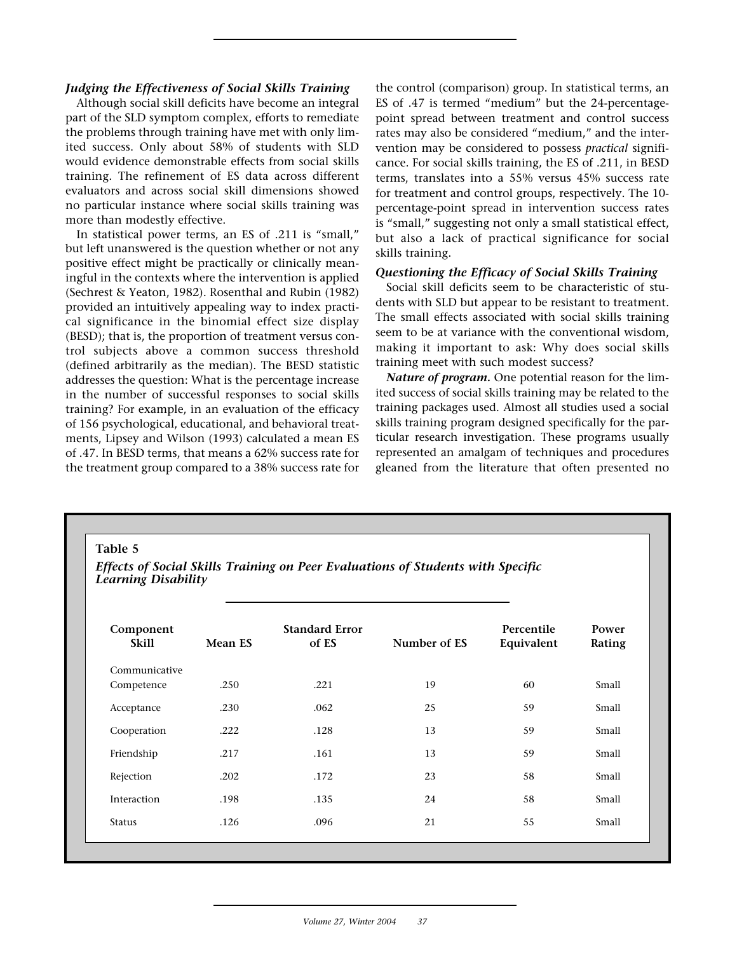### *Judging the Effectiveness of Social Skills Training*

Although social skill deficits have become an integral part of the SLD symptom complex, efforts to remediate the problems through training have met with only limited success. Only about 58% of students with SLD would evidence demonstrable effects from social skills training. The refinement of ES data across different evaluators and across social skill dimensions showed no particular instance where social skills training was more than modestly effective.

In statistical power terms, an ES of .211 is "small," but left unanswered is the question whether or not any positive effect might be practically or clinically meaningful in the contexts where the intervention is applied (Sechrest & Yeaton, 1982). Rosenthal and Rubin (1982) provided an intuitively appealing way to index practical significance in the binomial effect size display (BESD); that is, the proportion of treatment versus control subjects above a common success threshold (defined arbitrarily as the median). The BESD statistic addresses the question: What is the percentage increase in the number of successful responses to social skills training? For example, in an evaluation of the efficacy of 156 psychological, educational, and behavioral treatments, Lipsey and Wilson (1993) calculated a mean ES of .47. In BESD terms, that means a 62% success rate for the treatment group compared to a 38% success rate for

the control (comparison) group. In statistical terms, an ES of .47 is termed "medium" but the 24-percentagepoint spread between treatment and control success rates may also be considered "medium," and the intervention may be considered to possess *practical* significance. For social skills training, the ES of .211, in BESD terms, translates into a 55% versus 45% success rate for treatment and control groups, respectively. The 10 percentage-point spread in intervention success rates is "small," suggesting not only a small statistical effect, but also a lack of practical significance for social skills training.

## *Questioning the Efficacy of Social Skills Training*

Social skill deficits seem to be characteristic of students with SLD but appear to be resistant to treatment. The small effects associated with social skills training seem to be at variance with the conventional wisdom, making it important to ask: Why does social skills training meet with such modest success?

*Nature of program.* One potential reason for the limited success of social skills training may be related to the training packages used. Almost all studies used a social skills training program designed specifically for the particular research investigation. These programs usually represented an amalgam of techniques and procedures gleaned from the literature that often presented no

**Table 5**

*Effects of Social Skills Training on Peer Evaluations of Students with Specific Learning Disability*

| Component<br><b>Skill</b> | Mean ES | <b>Standard Error</b><br>of ES | Number of ES | Percentile<br>Equivalent | Power<br>Rating |
|---------------------------|---------|--------------------------------|--------------|--------------------------|-----------------|
| Communicative             |         |                                |              |                          |                 |
| Competence                | .250    | .221                           | 19           | 60                       | Small           |
| Acceptance                | .230    | .062                           | 25           | 59                       | Small           |
| Cooperation               | .222    | .128                           | 13           | 59                       | Small           |
| Friendship                | .217    | .161                           | 13           | 59                       | Small           |
| Rejection                 | .202    | .172                           | 23           | 58                       | Small           |
| Interaction               | .198    | .135                           | 24           | 58                       | Small           |
| <b>Status</b>             | .126    | .096                           | 21           | 55                       | Small           |
|                           |         |                                |              |                          |                 |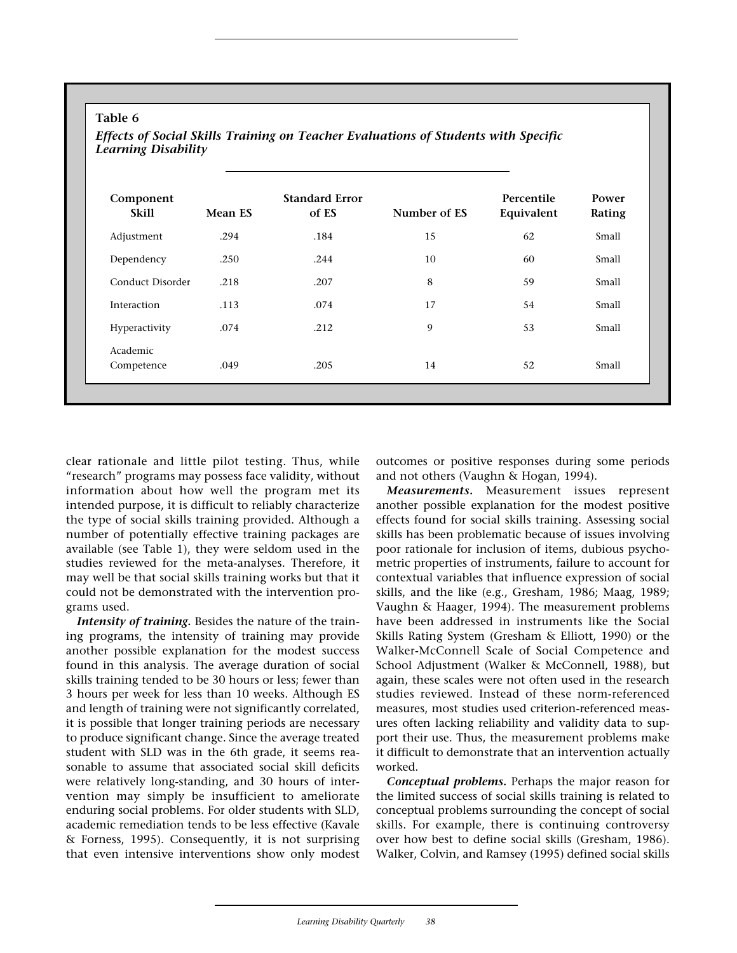| Component<br><b>Skill</b> | Mean ES | <b>Standard Error</b><br>of ES | Number of ES | Percentile<br>Equivalent | Power<br>Rating |
|---------------------------|---------|--------------------------------|--------------|--------------------------|-----------------|
| Adjustment                | .294    | .184                           | 15           | 62                       | Small           |
| Dependency                | .250    | .244                           | 10           | 60                       | Small           |
| Conduct Disorder          | .218    | .207                           | 8            | 59                       | Small           |
| Interaction               | .113    | .074                           | 17           | 54                       | Small           |
| Hyperactivity             | .074    | .212                           | 9            | 53                       | Small           |
| Academic                  |         |                                |              |                          |                 |
| Competence                | .049    | .205                           | 14           | 52                       | Small           |

# **Table 6**

*Effects of Social Skills Training on Teacher Evaluations of Students with Specific*

clear rationale and little pilot testing. Thus, while "research" programs may possess face validity, without information about how well the program met its intended purpose, it is difficult to reliably characterize the type of social skills training provided. Although a number of potentially effective training packages are available (see Table 1), they were seldom used in the studies reviewed for the meta-analyses. Therefore, it may well be that social skills training works but that it could not be demonstrated with the intervention programs used.

*Intensity of training.* Besides the nature of the training programs, the intensity of training may provide another possible explanation for the modest success found in this analysis. The average duration of social skills training tended to be 30 hours or less; fewer than 3 hours per week for less than 10 weeks. Although ES and length of training were not significantly correlated, it is possible that longer training periods are necessary to produce significant change. Since the average treated student with SLD was in the 6th grade, it seems reasonable to assume that associated social skill deficits were relatively long-standing, and 30 hours of intervention may simply be insufficient to ameliorate enduring social problems. For older students with SLD, academic remediation tends to be less effective (Kavale & Forness, 1995). Consequently, it is not surprising that even intensive interventions show only modest

outcomes or positive responses during some periods and not others (Vaughn & Hogan, 1994).

*Measurements.* Measurement issues represent another possible explanation for the modest positive effects found for social skills training. Assessing social skills has been problematic because of issues involving poor rationale for inclusion of items, dubious psychometric properties of instruments, failure to account for contextual variables that influence expression of social skills, and the like (e.g., Gresham, 1986; Maag, 1989; Vaughn & Haager, 1994). The measurement problems have been addressed in instruments like the Social Skills Rating System (Gresham & Elliott, 1990) or the Walker-McConnell Scale of Social Competence and School Adjustment (Walker & McConnell, 1988), but again, these scales were not often used in the research studies reviewed. Instead of these norm-referenced measures, most studies used criterion-referenced measures often lacking reliability and validity data to support their use. Thus, the measurement problems make it difficult to demonstrate that an intervention actually worked.

*Conceptual problems.* Perhaps the major reason for the limited success of social skills training is related to conceptual problems surrounding the concept of social skills. For example, there is continuing controversy over how best to define social skills (Gresham, 1986). Walker, Colvin, and Ramsey (1995) defined social skills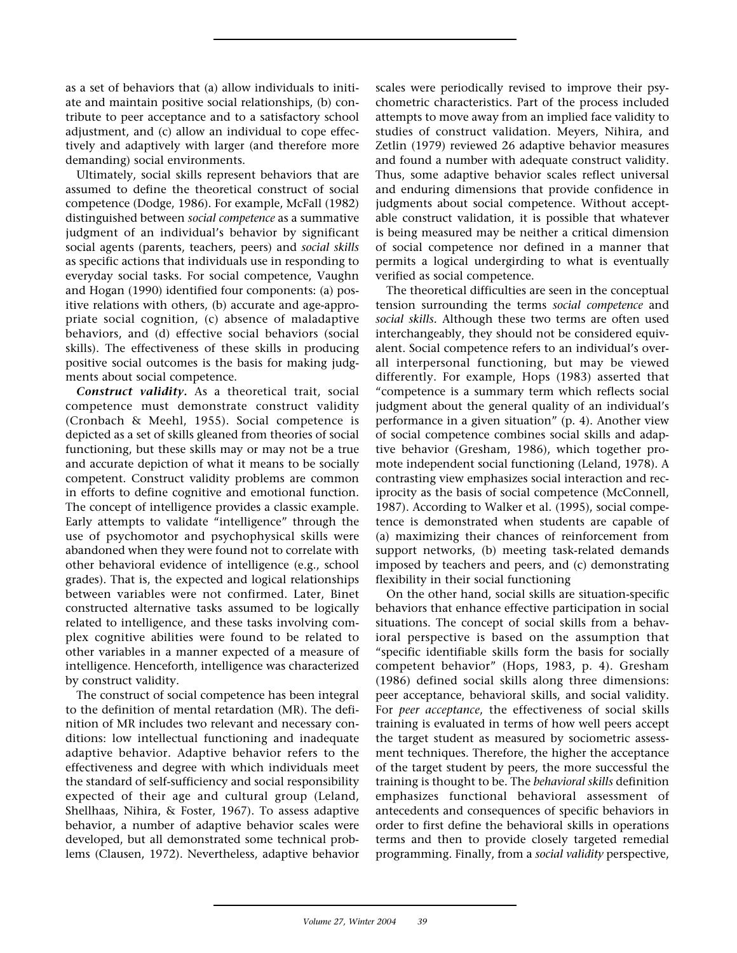as a set of behaviors that (a) allow individuals to initiate and maintain positive social relationships, (b) contribute to peer acceptance and to a satisfactory school adjustment, and (c) allow an individual to cope effectively and adaptively with larger (and therefore more demanding) social environments.

Ultimately, social skills represent behaviors that are assumed to define the theoretical construct of social competence (Dodge, 1986). For example, McFall (1982) distinguished between *social competence* as a summative judgment of an individual's behavior by significant social agents (parents, teachers, peers) and *social skills* as specific actions that individuals use in responding to everyday social tasks. For social competence, Vaughn and Hogan (1990) identified four components: (a) positive relations with others, (b) accurate and age-appropriate social cognition, (c) absence of maladaptive behaviors, and (d) effective social behaviors (social skills). The effectiveness of these skills in producing positive social outcomes is the basis for making judgments about social competence.

*Construct validity.* As a theoretical trait, social competence must demonstrate construct validity (Cronbach & Meehl, 1955). Social competence is depicted as a set of skills gleaned from theories of social functioning, but these skills may or may not be a true and accurate depiction of what it means to be socially competent. Construct validity problems are common in efforts to define cognitive and emotional function. The concept of intelligence provides a classic example. Early attempts to validate "intelligence" through the use of psychomotor and psychophysical skills were abandoned when they were found not to correlate with other behavioral evidence of intelligence (e.g., school grades). That is, the expected and logical relationships between variables were not confirmed. Later, Binet constructed alternative tasks assumed to be logically related to intelligence, and these tasks involving complex cognitive abilities were found to be related to other variables in a manner expected of a measure of intelligence. Henceforth, intelligence was characterized by construct validity.

The construct of social competence has been integral to the definition of mental retardation (MR). The definition of MR includes two relevant and necessary conditions: low intellectual functioning and inadequate adaptive behavior. Adaptive behavior refers to the effectiveness and degree with which individuals meet the standard of self-sufficiency and social responsibility expected of their age and cultural group (Leland, Shellhaas, Nihira, & Foster, 1967). To assess adaptive behavior, a number of adaptive behavior scales were developed, but all demonstrated some technical problems (Clausen, 1972). Nevertheless, adaptive behavior scales were periodically revised to improve their psychometric characteristics. Part of the process included attempts to move away from an implied face validity to studies of construct validation. Meyers, Nihira, and Zetlin (1979) reviewed 26 adaptive behavior measures and found a number with adequate construct validity. Thus, some adaptive behavior scales reflect universal and enduring dimensions that provide confidence in judgments about social competence. Without acceptable construct validation, it is possible that whatever is being measured may be neither a critical dimension of social competence nor defined in a manner that permits a logical undergirding to what is eventually verified as social competence.

The theoretical difficulties are seen in the conceptual tension surrounding the terms *social competence* and *social skills.* Although these two terms are often used interchangeably, they should not be considered equivalent. Social competence refers to an individual's overall interpersonal functioning, but may be viewed differently. For example, Hops (1983) asserted that "competence is a summary term which reflects social judgment about the general quality of an individual's performance in a given situation" (p. 4). Another view of social competence combines social skills and adaptive behavior (Gresham, 1986), which together promote independent social functioning (Leland, 1978). A contrasting view emphasizes social interaction and reciprocity as the basis of social competence (McConnell, 1987). According to Walker et al. (1995), social competence is demonstrated when students are capable of (a) maximizing their chances of reinforcement from support networks, (b) meeting task-related demands imposed by teachers and peers, and (c) demonstrating flexibility in their social functioning

On the other hand, social skills are situation-specific behaviors that enhance effective participation in social situations. The concept of social skills from a behavioral perspective is based on the assumption that "specific identifiable skills form the basis for socially competent behavior" (Hops, 1983, p. 4). Gresham (1986) defined social skills along three dimensions: peer acceptance, behavioral skills, and social validity. For *peer acceptance*, the effectiveness of social skills training is evaluated in terms of how well peers accept the target student as measured by sociometric assessment techniques. Therefore, the higher the acceptance of the target student by peers, the more successful the training is thought to be. The *behavioral skills* definition emphasizes functional behavioral assessment of antecedents and consequences of specific behaviors in order to first define the behavioral skills in operations terms and then to provide closely targeted remedial programming. Finally, from a *social validity* perspective,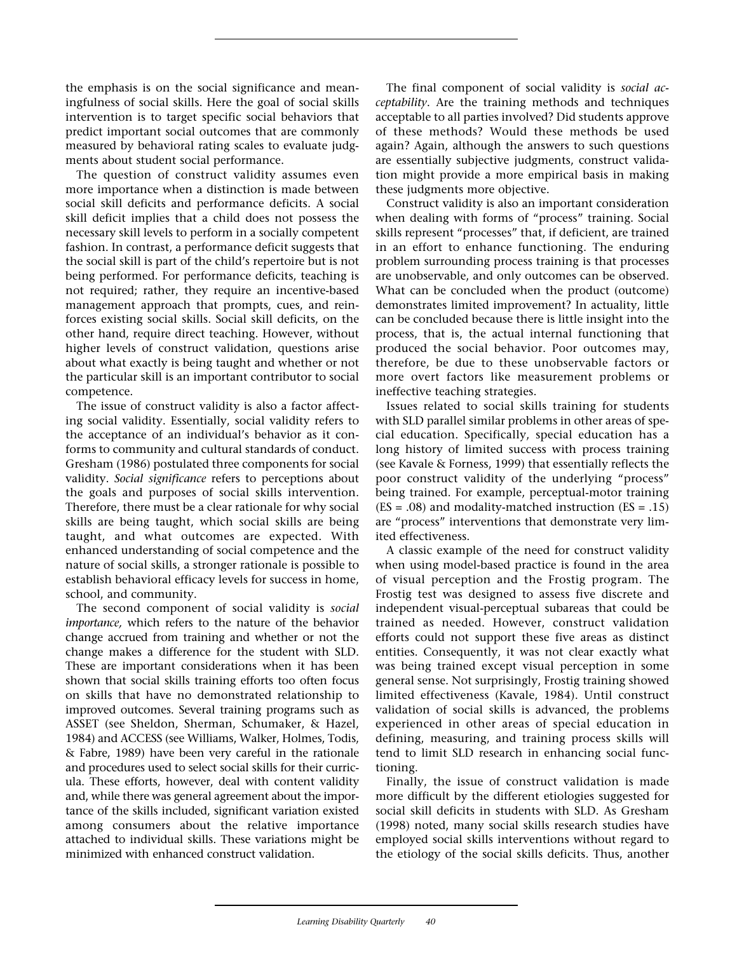the emphasis is on the social significance and meaningfulness of social skills. Here the goal of social skills intervention is to target specific social behaviors that predict important social outcomes that are commonly measured by behavioral rating scales to evaluate judgments about student social performance.

The question of construct validity assumes even more importance when a distinction is made between social skill deficits and performance deficits. A social skill deficit implies that a child does not possess the necessary skill levels to perform in a socially competent fashion. In contrast, a performance deficit suggests that the social skill is part of the child's repertoire but is not being performed. For performance deficits, teaching is not required; rather, they require an incentive-based management approach that prompts, cues, and reinforces existing social skills. Social skill deficits, on the other hand, require direct teaching. However, without higher levels of construct validation, questions arise about what exactly is being taught and whether or not the particular skill is an important contributor to social competence.

The issue of construct validity is also a factor affecting social validity. Essentially, social validity refers to the acceptance of an individual's behavior as it conforms to community and cultural standards of conduct. Gresham (1986) postulated three components for social validity. *Social significance* refers to perceptions about the goals and purposes of social skills intervention. Therefore, there must be a clear rationale for why social skills are being taught, which social skills are being taught, and what outcomes are expected. With enhanced understanding of social competence and the nature of social skills, a stronger rationale is possible to establish behavioral efficacy levels for success in home, school, and community.

The second component of social validity is *social importance,* which refers to the nature of the behavior change accrued from training and whether or not the change makes a difference for the student with SLD. These are important considerations when it has been shown that social skills training efforts too often focus on skills that have no demonstrated relationship to improved outcomes. Several training programs such as ASSET (see Sheldon, Sherman, Schumaker, & Hazel, 1984) and ACCESS (see Williams, Walker, Holmes, Todis, & Fabre, 1989) have been very careful in the rationale and procedures used to select social skills for their curricula. These efforts, however, deal with content validity and, while there was general agreement about the importance of the skills included, significant variation existed among consumers about the relative importance attached to individual skills. These variations might be minimized with enhanced construct validation.

The final component of social validity is *social acceptability*. Are the training methods and techniques acceptable to all parties involved? Did students approve of these methods? Would these methods be used again? Again, although the answers to such questions are essentially subjective judgments, construct validation might provide a more empirical basis in making these judgments more objective.

Construct validity is also an important consideration when dealing with forms of "process" training. Social skills represent "processes" that, if deficient, are trained in an effort to enhance functioning. The enduring problem surrounding process training is that processes are unobservable, and only outcomes can be observed. What can be concluded when the product (outcome) demonstrates limited improvement? In actuality, little can be concluded because there is little insight into the process, that is, the actual internal functioning that produced the social behavior. Poor outcomes may, therefore, be due to these unobservable factors or more overt factors like measurement problems or ineffective teaching strategies.

Issues related to social skills training for students with SLD parallel similar problems in other areas of special education. Specifically, special education has a long history of limited success with process training (see Kavale & Forness, 1999) that essentially reflects the poor construct validity of the underlying "process" being trained. For example, perceptual-motor training  $(ES = .08)$  and modality-matched instruction  $(ES = .15)$ are "process" interventions that demonstrate very limited effectiveness.

A classic example of the need for construct validity when using model-based practice is found in the area of visual perception and the Frostig program. The Frostig test was designed to assess five discrete and independent visual-perceptual subareas that could be trained as needed. However, construct validation efforts could not support these five areas as distinct entities. Consequently, it was not clear exactly what was being trained except visual perception in some general sense. Not surprisingly, Frostig training showed limited effectiveness (Kavale, 1984). Until construct validation of social skills is advanced, the problems experienced in other areas of special education in defining, measuring, and training process skills will tend to limit SLD research in enhancing social functioning.

Finally, the issue of construct validation is made more difficult by the different etiologies suggested for social skill deficits in students with SLD. As Gresham (1998) noted, many social skills research studies have employed social skills interventions without regard to the etiology of the social skills deficits. Thus, another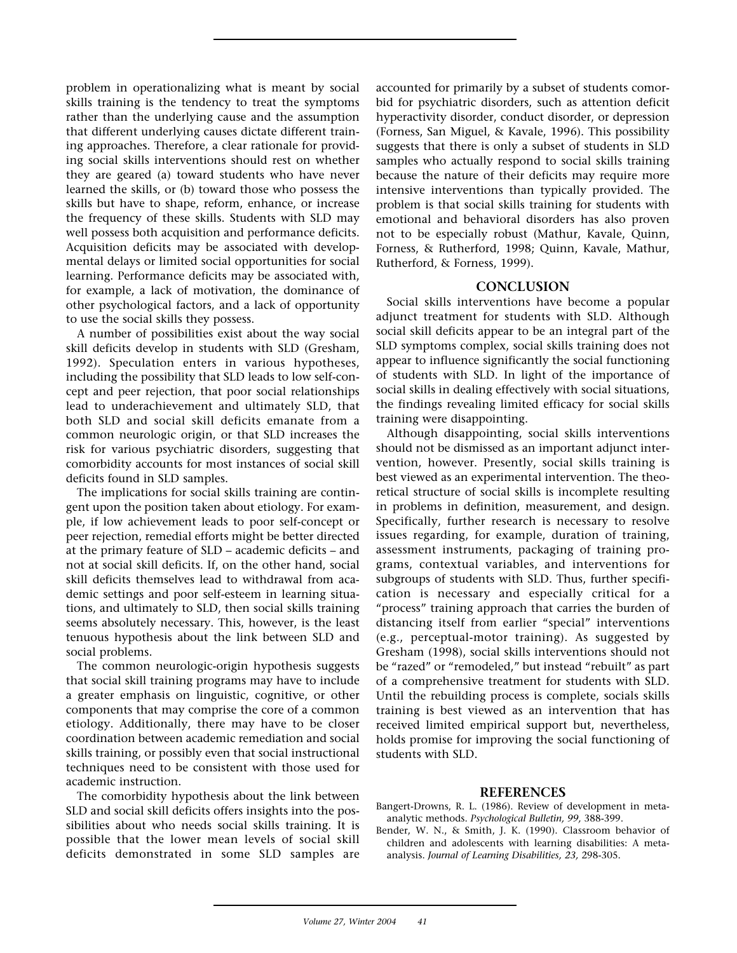problem in operationalizing what is meant by social skills training is the tendency to treat the symptoms rather than the underlying cause and the assumption that different underlying causes dictate different training approaches. Therefore, a clear rationale for providing social skills interventions should rest on whether they are geared (a) toward students who have never learned the skills, or (b) toward those who possess the skills but have to shape, reform, enhance, or increase the frequency of these skills. Students with SLD may well possess both acquisition and performance deficits. Acquisition deficits may be associated with developmental delays or limited social opportunities for social learning. Performance deficits may be associated with, for example, a lack of motivation, the dominance of other psychological factors, and a lack of opportunity to use the social skills they possess.

A number of possibilities exist about the way social skill deficits develop in students with SLD (Gresham, 1992). Speculation enters in various hypotheses, including the possibility that SLD leads to low self-concept and peer rejection, that poor social relationships lead to underachievement and ultimately SLD, that both SLD and social skill deficits emanate from a common neurologic origin, or that SLD increases the risk for various psychiatric disorders, suggesting that comorbidity accounts for most instances of social skill deficits found in SLD samples.

The implications for social skills training are contingent upon the position taken about etiology. For example, if low achievement leads to poor self-concept or peer rejection, remedial efforts might be better directed at the primary feature of SLD – academic deficits – and not at social skill deficits. If, on the other hand, social skill deficits themselves lead to withdrawal from academic settings and poor self-esteem in learning situations, and ultimately to SLD, then social skills training seems absolutely necessary. This, however, is the least tenuous hypothesis about the link between SLD and social problems.

The common neurologic-origin hypothesis suggests that social skill training programs may have to include a greater emphasis on linguistic, cognitive, or other components that may comprise the core of a common etiology. Additionally, there may have to be closer coordination between academic remediation and social skills training, or possibly even that social instructional techniques need to be consistent with those used for academic instruction.

The comorbidity hypothesis about the link between SLD and social skill deficits offers insights into the possibilities about who needs social skills training. It is possible that the lower mean levels of social skill deficits demonstrated in some SLD samples are

accounted for primarily by a subset of students comorbid for psychiatric disorders, such as attention deficit hyperactivity disorder, conduct disorder, or depression (Forness, San Miguel, & Kavale, 1996). This possibility suggests that there is only a subset of students in SLD samples who actually respond to social skills training because the nature of their deficits may require more intensive interventions than typically provided. The problem is that social skills training for students with emotional and behavioral disorders has also proven not to be especially robust (Mathur, Kavale, Quinn, Forness, & Rutherford, 1998; Quinn, Kavale, Mathur, Rutherford, & Forness, 1999).

## **CONCLUSION**

Social skills interventions have become a popular adjunct treatment for students with SLD. Although social skill deficits appear to be an integral part of the SLD symptoms complex, social skills training does not appear to influence significantly the social functioning of students with SLD. In light of the importance of social skills in dealing effectively with social situations, the findings revealing limited efficacy for social skills training were disappointing.

Although disappointing, social skills interventions should not be dismissed as an important adjunct intervention, however. Presently, social skills training is best viewed as an experimental intervention. The theoretical structure of social skills is incomplete resulting in problems in definition, measurement, and design. Specifically, further research is necessary to resolve issues regarding, for example, duration of training, assessment instruments, packaging of training programs, contextual variables, and interventions for subgroups of students with SLD. Thus, further specification is necessary and especially critical for a "process" training approach that carries the burden of distancing itself from earlier "special" interventions (e.g., perceptual-motor training). As suggested by Gresham (1998), social skills interventions should not be "razed" or "remodeled," but instead "rebuilt" as part of a comprehensive treatment for students with SLD. Until the rebuilding process is complete, socials skills training is best viewed as an intervention that has received limited empirical support but, nevertheless, holds promise for improving the social functioning of students with SLD.

## **REFERENCES**

- Bangert-Drowns, R. L. (1986). Review of development in metaanalytic methods. *Psychological Bulletin, 99,* 388-399.
- Bender, W. N., & Smith, J. K. (1990). Classroom behavior of children and adolescents with learning disabilities: A metaanalysis. *Journal of Learning Disabilities, 23,* 298-305.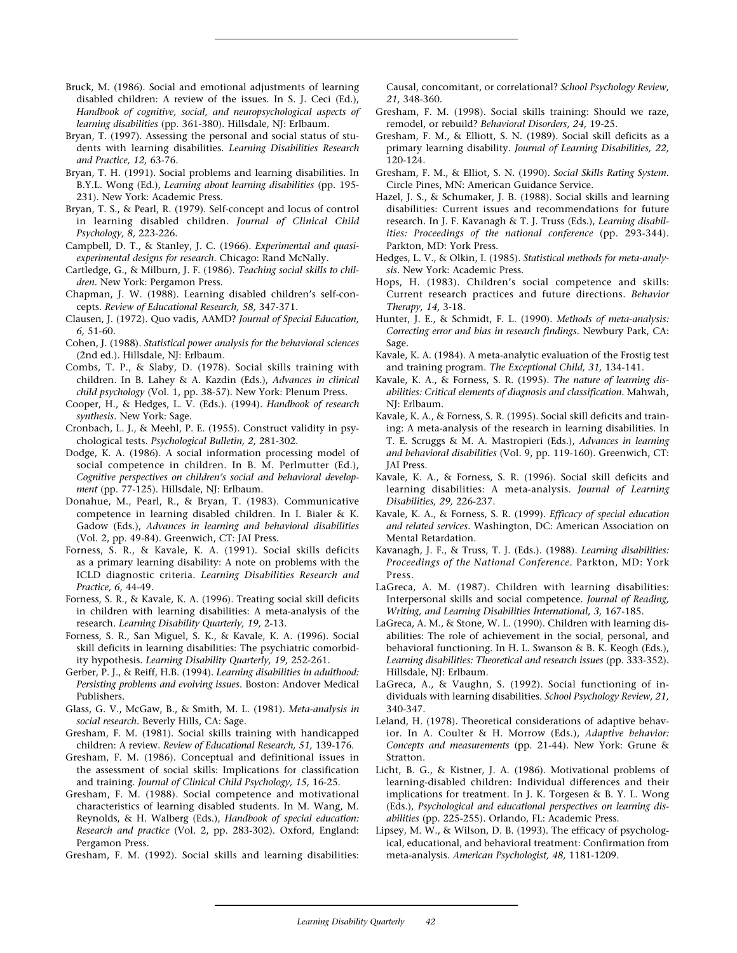- Bruck, M. (1986). Social and emotional adjustments of learning disabled children: A review of the issues. In S. J. Ceci (Ed.), *Handbook of cognitive, social, and neuropsychological aspects of learning disabilities* (pp. 361-380). Hillsdale, NJ: Erlbaum.
- Bryan, T. (1997). Assessing the personal and social status of students with learning disabilities. *Learning Disabilities Research and Practice, 12,* 63-76.
- Bryan, T. H. (1991). Social problems and learning disabilities. In B.Y.L. Wong (Ed.), *Learning about learning disabilities* (pp. 195- 231). New York: Academic Press.
- Bryan, T. S., & Pearl, R. (1979). Self-concept and locus of control in learning disabled children. *Journal of Clinical Child Psychology, 8,* 223-226.
- Campbell, D. T., & Stanley, J. C. (1966). *Experimental and quasiexperimental designs for research.* Chicago: Rand McNally.
- Cartledge, G., & Milburn, J. F. (1986). *Teaching social skills to children.* New York: Pergamon Press.
- Chapman, J. W. (1988). Learning disabled children's self-concepts. *Review of Educational Research, 58,* 347-371.
- Clausen, J. (1972). Quo vadis, AAMD? *Journal of Special Education, 6,* 51-60.
- Cohen, J. (1988). *Statistical power analysis for the behavioral sciences* (2nd ed.). Hillsdale, NJ: Erlbaum.
- Combs, T. P., & Slaby, D. (1978). Social skills training with children. In B. Lahey & A. Kazdin (Eds.), *Advances in clinical child psychology* (Vol. 1, pp. 38-57). New York: Plenum Press.
- Cooper, H., & Hedges, L. V. (Eds.). (1994). *Handbook of research synthesis.* New York: Sage.
- Cronbach, L. J., & Meehl, P. E. (1955). Construct validity in psychological tests. *Psychological Bulletin, 2,* 281-302.
- Dodge, K. A. (1986). A social information processing model of social competence in children. In B. M. Perlmutter (Ed.), *Cognitive perspectives on children's social and behavioral development* (pp. 77-125). Hillsdale, NJ: Erlbaum.
- Donahue, M., Pearl, R., & Bryan, T. (1983). Communicative competence in learning disabled children. In I. Bialer & K. Gadow (Eds.), *Advances in learning and behavioral disabilities* (Vol. 2, pp. 49-84). Greenwich, CT: JAI Press.
- Forness, S. R., & Kavale, K. A. (1991). Social skills deficits as a primary learning disability: A note on problems with the ICLD diagnostic criteria. *Learning Disabilities Research and Practice, 6,* 44-49.
- Forness, S. R., & Kavale, K. A. (1996). Treating social skill deficits in children with learning disabilities: A meta-analysis of the research. *Learning Disability Quarterly, 19,* 2-13.
- Forness, S. R., San Miguel, S. K., & Kavale, K. A. (1996). Social skill deficits in learning disabilities: The psychiatric comorbidity hypothesis. *Learning Disability Quarterly, 19,* 252-261.
- Gerber, P. J., & Reiff, H.B. (1994). *Learning disabilities in adulthood: Persisting problems and evolving issues.* Boston: Andover Medical Publishers.
- Glass, G. V., McGaw, B., & Smith, M. L. (1981). *Meta-analysis in social research.* Beverly Hills, CA: Sage.
- Gresham, F. M. (1981). Social skills training with handicapped children: A review. *Review of Educational Research, 51,* 139-176.
- Gresham, F. M. (1986). Conceptual and definitional issues in the assessment of social skills: Implications for classification and training. *Journal of Clinical Child Psychology, 15,* 16-25.
- Gresham, F. M. (1988). Social competence and motivational characteristics of learning disabled students. In M. Wang, M. Reynolds, & H. Walberg (Eds.), *Handbook of special education: Research and practice* (Vol. 2, pp. 283-302). Oxford, England: Pergamon Press.
- Gresham, F. M. (1992). Social skills and learning disabilities:

Causal, concomitant, or correlational? *School Psychology Review, 21,* 348-360.

- Gresham, F. M. (1998). Social skills training: Should we raze, remodel, or rebuild? *Behavioral Disorders, 24,* 19-25.
- Gresham, F. M., & Elliott, S. N. (1989). Social skill deficits as a primary learning disability. *Journal of Learning Disabilities, 22,* 120-124.
- Gresham, F. M., & Elliot, S. N. (1990). *Social Skills Rating System.* Circle Pines, MN: American Guidance Service.
- Hazel, J. S., & Schumaker, J. B. (1988). Social skills and learning disabilities: Current issues and recommendations for future research. In J. F. Kavanagh & T. J. Truss (Eds.), *Learning disabilities: Proceedings of the national conference* (pp. 293-344). Parkton, MD: York Press.
- Hedges, L. V., & Olkin, I. (1985). *Statistical methods for meta-analysis.* New York: Academic Press.
- Hops, H. (1983). Children's social competence and skills: Current research practices and future directions. *Behavior Therapy, 14,* 3-18.
- Hunter, J. E., & Schmidt, F. L. (1990). *Methods of meta-analysis: Correcting error and bias in research findings.* Newbury Park, CA: Sage.
- Kavale, K. A. (1984). A meta-analytic evaluation of the Frostig test and training program. *The Exceptional Child, 31,* 134-141.
- Kavale, K. A., & Forness, S. R. (1995). *The nature of learning disabilities: Critical elements of diagnosis and classification.* Mahwah, NJ: Erlbaum.
- Kavale, K. A., & Forness, S. R. (1995). Social skill deficits and training: A meta-analysis of the research in learning disabilities. In T. E. Scruggs & M. A. Mastropieri (Eds.), *Advances in learning and behavioral disabilities* (Vol. 9, pp. 119-160). Greenwich, CT: JAI Press.
- Kavale, K. A., & Forness, S. R. (1996). Social skill deficits and learning disabilities: A meta-analysis. *Journal of Learning Disabilities, 29,* 226-237.
- Kavale, K. A., & Forness, S. R. (1999). *Efficacy of special education and related services.* Washington, DC: American Association on Mental Retardation.
- Kavanagh, J. F., & Truss, T. J. (Eds.). (1988). *Learning disabilities: Proceedings of the National Conference.* Parkton, MD: York Press.
- LaGreca, A. M. (1987). Children with learning disabilities: Interpersonal skills and social competence. *Journal of Reading, Writing, and Learning Disabilities International, 3,* 167-185.
- LaGreca, A. M., & Stone, W. L. (1990). Children with learning disabilities: The role of achievement in the social, personal, and behavioral functioning. In H. L. Swanson & B. K. Keogh (Eds.), Learning disabilities: Theoretical and research issues (pp. 333-352). Hillsdale, NJ: Erlbaum.
- LaGreca, A., & Vaughn, S. (1992). Social functioning of individuals with learning disabilities. *School Psychology Review, 21,* 340-347.
- Leland, H. (1978). Theoretical considerations of adaptive behavior. In A. Coulter & H. Morrow (Eds.), *Adaptive behavior: Concepts and measurements* (pp. 21-44). New York: Grune & Stratton.
- Licht, B. G., & Kistner, J. A. (1986). Motivational problems of learning-disabled children: Individual differences and their implications for treatment. In J. K. Torgesen & B. Y. L. Wong (Eds.), *Psychological and educational perspectives on learning disabilities* (pp. 225-255). Orlando, FL: Academic Press.
- Lipsey, M. W., & Wilson, D. B. (1993). The efficacy of psychological, educational, and behavioral treatment: Confirmation from meta-analysis. *American Psychologist, 48,* 1181-1209.